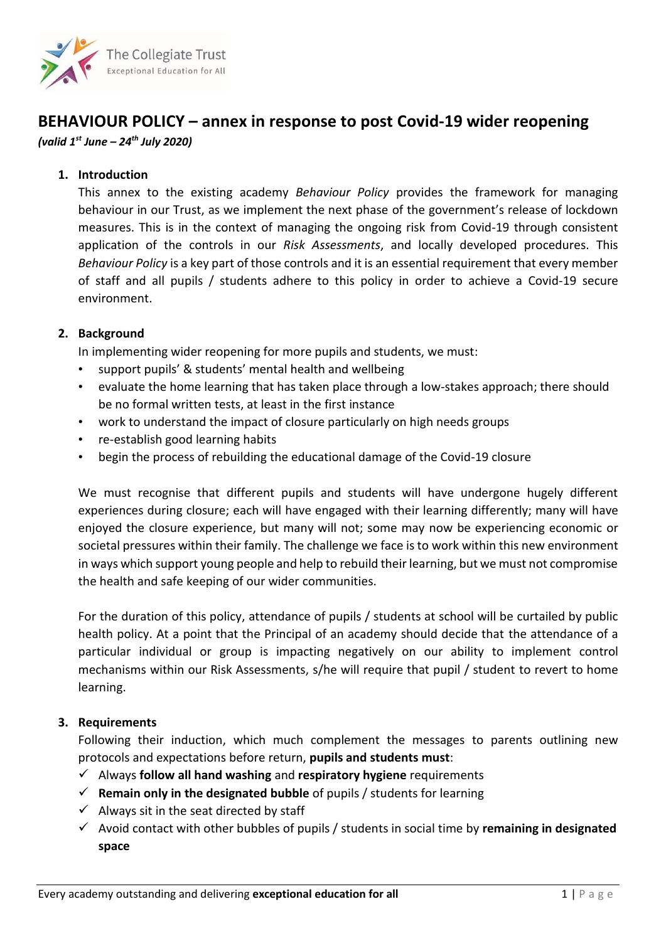

# **BEHAVIOUR POLICY – annex in response to post Covid-19 wider reopening**

*(valid 1 st June – 24 th July 2020)*

### **1. Introduction**

This annex to the existing academy *Behaviour Policy* provides the framework for managing behaviour in our Trust, as we implement the next phase of the government's release of lockdown measures. This is in the context of managing the ongoing risk from Covid-19 through consistent application of the controls in our *Risk Assessments*, and locally developed procedures. This *Behaviour Policy* is a key part of those controls and it is an essential requirement that every member of staff and all pupils / students adhere to this policy in order to achieve a Covid-19 secure environment.

#### **2. Background**

In implementing wider reopening for more pupils and students, we must:

- support pupils' & students' mental health and wellbeing
- evaluate the home learning that has taken place through a low-stakes approach; there should be no formal written tests, at least in the first instance
- work to understand the impact of closure particularly on high needs groups
- re-establish good learning habits
- begin the process of rebuilding the educational damage of the Covid-19 closure

We must recognise that different pupils and students will have undergone hugely different experiences during closure; each will have engaged with their learning differently; many will have enjoyed the closure experience, but many will not; some may now be experiencing economic or societal pressures within their family. The challenge we face is to work within this new environment in ways which support young people and help to rebuild their learning, but we must not compromise the health and safe keeping of our wider communities.

For the duration of this policy, attendance of pupils / students at school will be curtailed by public health policy. At a point that the Principal of an academy should decide that the attendance of a particular individual or group is impacting negatively on our ability to implement control mechanisms within our Risk Assessments, s/he will require that pupil / student to revert to home learning.

#### **3. Requirements**

Following their induction, which much complement the messages to parents outlining new protocols and expectations before return, **pupils and students must**:

- ✓ Always **follow all hand washing** and **respiratory hygiene** requirements
- ✓ **Remain only in the designated bubble** of pupils / students for learning
- $\checkmark$  Always sit in the seat directed by staff
- ✓ Avoid contact with other bubbles of pupils / students in social time by **remaining in designated space**